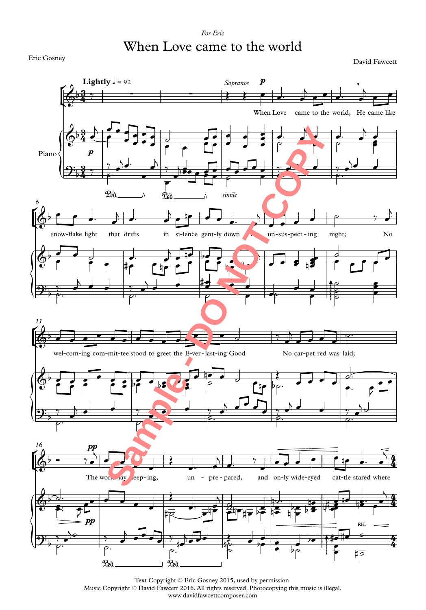## *For Eric* When Love came to the world

Eric Gosney

David Fawcett



Text Copyright © Eric Gosney 2015, used by permission Music Copyright © David Fawcett 2016. All rights reserved. Photocopying this music is illegal. www.davidfawcettcomposer.com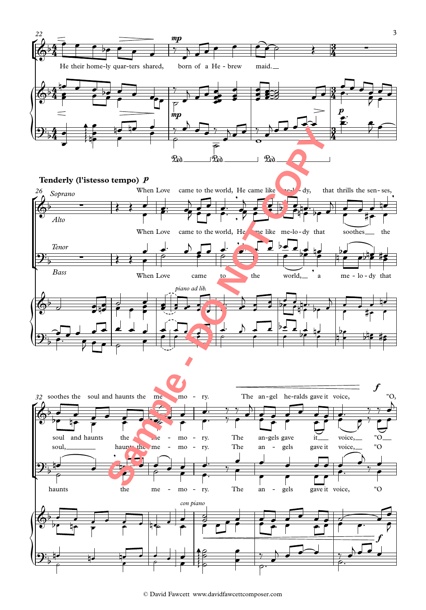

<sup>©</sup> David Fawcett www.davidfawcettcomposer.com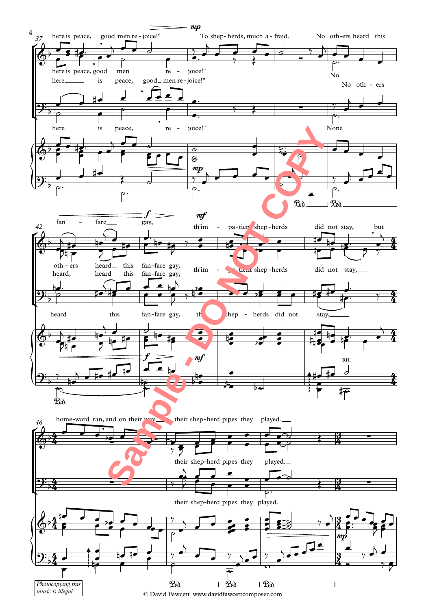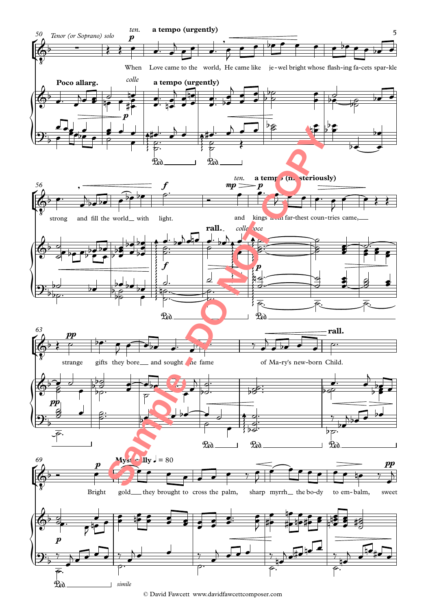

<sup>©</sup> David Fawcett www.davidfawcettcomposer.com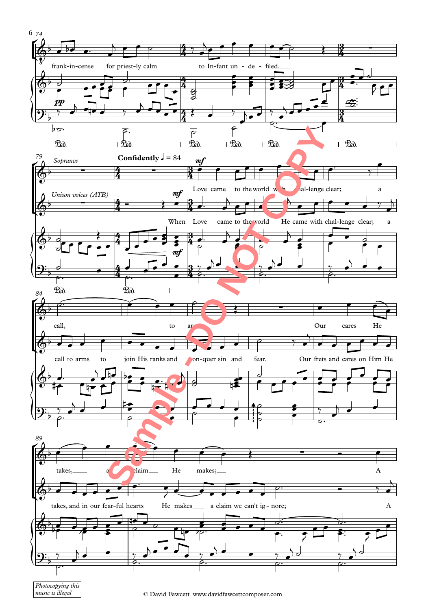

<sup>©</sup> David Fawcett www.davidfawcettcomposer.com